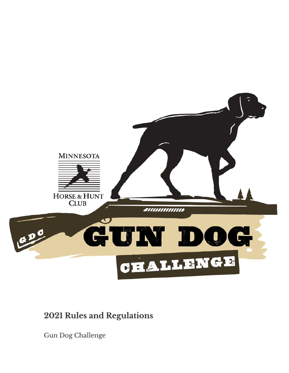

## 2021 Rules and Regulations

Gun Dog Challenge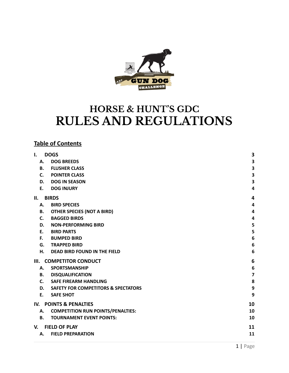

# **HORSE & HUNT'S GDC RULES AND REGULATIONS**

### **Table of Contents**

| 3<br><b>DOG BREEDS</b><br>Α.<br>$\overline{\mathbf{3}}$<br><b>FLUSHER CLASS</b><br><b>B.</b><br>3<br><b>POINTER CLASS</b><br>C.<br>$\overline{\mathbf{3}}$<br><b>DOG IN SEASON</b><br>D.<br><b>DOG INJURY</b><br>$\overline{\mathbf{4}}$<br>Ε.<br><b>BIRDS</b><br>4<br><b>BIRD SPECIES</b><br>$\overline{\mathbf{4}}$<br>А.<br>$\overline{\mathbf{4}}$<br>В.<br><b>OTHER SPECIES (NOT A BIRD)</b><br><b>BAGGED BIRDS</b><br>C.<br>4<br>5<br><b>NON-PERFORMING BIRD</b><br>D.<br>5<br>Ε.<br><b>BIRD PARTS</b><br>6<br><b>BUMPED BIRD</b><br>F.<br>$6\phantom{1}6$<br>G.<br><b>TRAPPED BIRD</b><br>6<br>н.<br><b>DEAD BIRD FOUND IN THE FIELD</b><br>6<br><b>COMPETITOR CONDUCT</b><br>Ш.<br>$\boldsymbol{6}$<br><b>SPORTSMANSHIP</b><br>А.<br>$\overline{\mathbf{z}}$<br><b>DISQUALIFICATION</b><br>В.<br>8<br>C.<br><b>SAFE FIREARM HANDLING</b><br>$\boldsymbol{9}$<br><b>SAFETY FOR COMPETITORS &amp; SPECTATORS</b><br>D.<br>9<br><b>SAFE SHOT</b><br>Ε.<br><b>POINTS &amp; PENALTIES</b><br>10<br><b>COMPETITION RUN POINTS/PENALTIES:</b><br>10<br>А.<br><b>B.</b><br><b>TOURNAMENT EVENT POINTS:</b><br>10<br><b>FIELD OF PLAY</b><br>11<br>11<br><b>FIELD PREPARATION</b><br>Α. | I.  | <b>DOGS</b> | 3 |
|----------------------------------------------------------------------------------------------------------------------------------------------------------------------------------------------------------------------------------------------------------------------------------------------------------------------------------------------------------------------------------------------------------------------------------------------------------------------------------------------------------------------------------------------------------------------------------------------------------------------------------------------------------------------------------------------------------------------------------------------------------------------------------------------------------------------------------------------------------------------------------------------------------------------------------------------------------------------------------------------------------------------------------------------------------------------------------------------------------------------------------------------------------------------------------------|-----|-------------|---|
|                                                                                                                                                                                                                                                                                                                                                                                                                                                                                                                                                                                                                                                                                                                                                                                                                                                                                                                                                                                                                                                                                                                                                                                        |     |             |   |
|                                                                                                                                                                                                                                                                                                                                                                                                                                                                                                                                                                                                                                                                                                                                                                                                                                                                                                                                                                                                                                                                                                                                                                                        |     |             |   |
|                                                                                                                                                                                                                                                                                                                                                                                                                                                                                                                                                                                                                                                                                                                                                                                                                                                                                                                                                                                                                                                                                                                                                                                        |     |             |   |
|                                                                                                                                                                                                                                                                                                                                                                                                                                                                                                                                                                                                                                                                                                                                                                                                                                                                                                                                                                                                                                                                                                                                                                                        |     |             |   |
|                                                                                                                                                                                                                                                                                                                                                                                                                                                                                                                                                                                                                                                                                                                                                                                                                                                                                                                                                                                                                                                                                                                                                                                        |     |             |   |
|                                                                                                                                                                                                                                                                                                                                                                                                                                                                                                                                                                                                                                                                                                                                                                                                                                                                                                                                                                                                                                                                                                                                                                                        | Н.  |             |   |
|                                                                                                                                                                                                                                                                                                                                                                                                                                                                                                                                                                                                                                                                                                                                                                                                                                                                                                                                                                                                                                                                                                                                                                                        |     |             |   |
|                                                                                                                                                                                                                                                                                                                                                                                                                                                                                                                                                                                                                                                                                                                                                                                                                                                                                                                                                                                                                                                                                                                                                                                        |     |             |   |
|                                                                                                                                                                                                                                                                                                                                                                                                                                                                                                                                                                                                                                                                                                                                                                                                                                                                                                                                                                                                                                                                                                                                                                                        |     |             |   |
|                                                                                                                                                                                                                                                                                                                                                                                                                                                                                                                                                                                                                                                                                                                                                                                                                                                                                                                                                                                                                                                                                                                                                                                        |     |             |   |
|                                                                                                                                                                                                                                                                                                                                                                                                                                                                                                                                                                                                                                                                                                                                                                                                                                                                                                                                                                                                                                                                                                                                                                                        |     |             |   |
|                                                                                                                                                                                                                                                                                                                                                                                                                                                                                                                                                                                                                                                                                                                                                                                                                                                                                                                                                                                                                                                                                                                                                                                        |     |             |   |
|                                                                                                                                                                                                                                                                                                                                                                                                                                                                                                                                                                                                                                                                                                                                                                                                                                                                                                                                                                                                                                                                                                                                                                                        |     |             |   |
|                                                                                                                                                                                                                                                                                                                                                                                                                                                                                                                                                                                                                                                                                                                                                                                                                                                                                                                                                                                                                                                                                                                                                                                        |     |             |   |
|                                                                                                                                                                                                                                                                                                                                                                                                                                                                                                                                                                                                                                                                                                                                                                                                                                                                                                                                                                                                                                                                                                                                                                                        |     |             |   |
|                                                                                                                                                                                                                                                                                                                                                                                                                                                                                                                                                                                                                                                                                                                                                                                                                                                                                                                                                                                                                                                                                                                                                                                        |     |             |   |
|                                                                                                                                                                                                                                                                                                                                                                                                                                                                                                                                                                                                                                                                                                                                                                                                                                                                                                                                                                                                                                                                                                                                                                                        |     |             |   |
|                                                                                                                                                                                                                                                                                                                                                                                                                                                                                                                                                                                                                                                                                                                                                                                                                                                                                                                                                                                                                                                                                                                                                                                        |     |             |   |
|                                                                                                                                                                                                                                                                                                                                                                                                                                                                                                                                                                                                                                                                                                                                                                                                                                                                                                                                                                                                                                                                                                                                                                                        |     |             |   |
|                                                                                                                                                                                                                                                                                                                                                                                                                                                                                                                                                                                                                                                                                                                                                                                                                                                                                                                                                                                                                                                                                                                                                                                        |     |             |   |
|                                                                                                                                                                                                                                                                                                                                                                                                                                                                                                                                                                                                                                                                                                                                                                                                                                                                                                                                                                                                                                                                                                                                                                                        | IV. |             |   |
|                                                                                                                                                                                                                                                                                                                                                                                                                                                                                                                                                                                                                                                                                                                                                                                                                                                                                                                                                                                                                                                                                                                                                                                        |     |             |   |
|                                                                                                                                                                                                                                                                                                                                                                                                                                                                                                                                                                                                                                                                                                                                                                                                                                                                                                                                                                                                                                                                                                                                                                                        |     |             |   |
|                                                                                                                                                                                                                                                                                                                                                                                                                                                                                                                                                                                                                                                                                                                                                                                                                                                                                                                                                                                                                                                                                                                                                                                        | V.  |             |   |
|                                                                                                                                                                                                                                                                                                                                                                                                                                                                                                                                                                                                                                                                                                                                                                                                                                                                                                                                                                                                                                                                                                                                                                                        |     |             |   |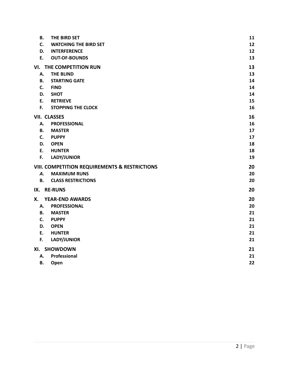| В.        | THE BIRD SET                                  | 11 |
|-----------|-----------------------------------------------|----|
| C.        | <b>WATCHING THE BIRD SET</b>                  | 12 |
| D.        | <b>INTERFERENCE</b>                           | 12 |
| E.        | <b>OUT-OF-BOUNDS</b>                          | 13 |
|           | VI. THE COMPETITION RUN                       | 13 |
| А.        | <b>THE BLIND</b>                              | 13 |
| В.        | <b>STARTING GATE</b>                          | 14 |
| C.        | <b>FIND</b>                                   | 14 |
| D.        | <b>SHOT</b>                                   | 14 |
| E.        | <b>RETRIEVE</b>                               | 15 |
| F.        | <b>STOPPING THE CLOCK</b>                     | 16 |
|           | <b>VII. CLASSES</b>                           | 16 |
| А.        | <b>PROFESSIONAL</b>                           | 16 |
| <b>B.</b> | <b>MASTER</b>                                 | 17 |
| C.        | <b>PUPPY</b>                                  | 17 |
| D.        | <b>OPEN</b>                                   | 18 |
| E.        | <b>HUNTER</b>                                 | 18 |
| F.        | LADY/JUNIOR                                   | 19 |
|           | VIII. COMPETITION REQUIREMENTS & RESTRICTIONS | 20 |
| Α.        | <b>MAXIMUM RUNS</b>                           | 20 |
| В.        | <b>CLASS RESTRICTIONS</b>                     | 20 |
|           | IX. RE-RUNS                                   | 20 |
| Х.        | <b>YEAR-END AWARDS</b>                        | 20 |
| А.        | <b>PROFESSIONAL</b>                           | 20 |
| В.        | <b>MASTER</b>                                 | 21 |
| C.        | <b>PUPPY</b>                                  | 21 |
| D.        | <b>OPEN</b>                                   | 21 |
| E.        | <b>HUNTER</b>                                 | 21 |
| F.        | LADY/JUNIOR                                   | 21 |
|           | XI. SHOWDOWN                                  | 21 |
| А.        | Professional                                  | 21 |
| В.        | Open                                          | 22 |
|           |                                               |    |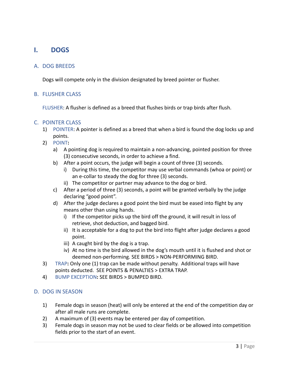### <span id="page-3-0"></span>**I. DOGS**

### <span id="page-3-1"></span>A. DOG BREEDS

Dogs will compete only in the division designated by breed pointer or flusher.

### <span id="page-3-2"></span>B. FLUSHER CLASS

FLUSHER: A flusher is defined as a breed that flushes birds or trap birds after flush.

### <span id="page-3-3"></span>C. POINTER CLASS

- 1) POINTER: A pointer is defined as a breed that when a bird is found the dog locks up and points.
- 2) POINT**:**
	- a) A pointing dog is required to maintain a non-advancing, pointed position for three (3) consecutive seconds, in order to achieve a find.
	- b) After a point occurs, the judge will begin a count of three (3) seconds.
		- i) During this time, the competitor may use verbal commands (whoa or point) or an e-collar to steady the dog for three (3) seconds.
		- ii) The competitor or partner may advance to the dog or bird.
	- c) After a period of three (3) seconds, a point will be granted verbally by the judge declaring "good point".
	- d) After the judge declares a good point the bird must be eased into flight by any means other than using hands.
		- i) If the competitor picks up the bird off the ground, it will result in loss of retrieve, shot deduction, and bagged bird.
		- ii) It is acceptable for a dog to put the bird into flight after judge declares a good point.
		- iii) A caught bird by the dog is a trap.
		- iv) At no time is the bird allowed in the dog's mouth until it is flushed and shot or deemed non-performing. SEE BIRDS > NON-PERFORMING BIRD.
- 3) TRAP**:** Only one (1) trap can be made without penalty. Additional traps will have points deducted. SEE POINTS & PENALTIES > EXTRA TRAP.
- 4) BUMP EXCEPTION**:** SEE BIRDS > BUMPED BIRD.

### <span id="page-3-4"></span>D. DOG IN SEASON

- 1) Female dogs in season (heat) will only be entered at the end of the competition day or after all male runs are complete.
- 2) A maximum of (3) events may be entered per day of competition.
- 3) Female dogs in season may not be used to clear fields or be allowed into competition fields prior to the start of an event.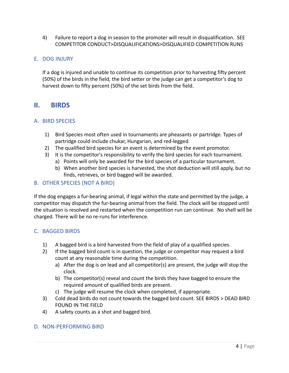4) Failure to report a dog in season to the promoter will result in disqualification. SEE COMPETITOR CONDUCT>DISQUALIFICATIONS>DISQUALIFIED COMPETITION RUNS

### <span id="page-4-0"></span>E. DOG INJURY

If a dog is injured and unable to continue its competition prior to harvesting fifty percent (50%) of the birds in the field, the bird setter or the judge can get a competitor's dog to harvest down to fifty percent (50%) of the set birds from the field.

### <span id="page-4-1"></span>**II. BIRDS**

#### <span id="page-4-2"></span>A. BIRD SPECIES

- 1) Bird Species most often used in tournaments are pheasants or partridge. Types of partridge could include chukar, Hungarian, and red-legged.
- 2) The qualified bird species for an event is determined by the event promotor.
- 3) It is the competitor's responsibility to verify the bird species for each tournament.
	- a) Points will only be awarded for the bird species of a particular tournament.
	- b) When another bird species is harvested, the shot deduction will still apply, but no finds, retrieves, or bird bagged will be awarded.

### <span id="page-4-3"></span>B. OTHER SPECIES (NOT A BIRD)

If the dog engages a fur-bearing animal, if legal within the state and permitted by the judge, a competitor may dispatch the fur-bearing animal from the field. The clock will be stopped until the situation is resolved and restarted when the competition run can continue. No shell will be charged. There will be no re-runs for interference.

### <span id="page-4-4"></span>C. BAGGED BIRDS

- 1) A bagged bird is a bird harvested from the field of play of a qualified species.
- 2) If the bagged bird count is in question, the judge or competitor may request a bird count at any reasonable time during the competition.
	- a) After the dog is on lead and all competitor(s) are present, the judge will stop the clock.
	- b) The competitor(s) reveal and count the birds they have bagged to ensure the required amount of qualified birds are present.
	- c) The judge will resume the clock when completed, if appropriate.
- 3) Cold dead birds do not count towards the bagged bird count. SEE BIRDS > DEAD BIRD FOUND IN THE FIELD
- 4) A safety counts as a shot and bagged bird.

### <span id="page-4-5"></span>D. NON-PERFORMING BIRD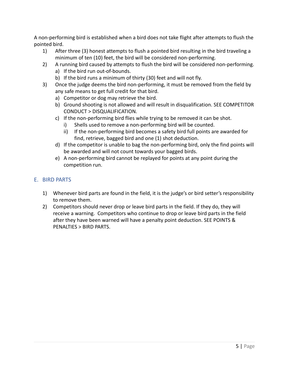A non-performing bird is established when a bird does not take flight after attempts to flush the pointed bird.

- 1) After three (3) honest attempts to flush a pointed bird resulting in the bird traveling a minimum of ten (10) feet, the bird will be considered non-performing.
- 2) A running bird caused by attempts to flush the bird will be considered non-performing.
	- a) If the bird run out-of-bounds.
	- b) If the bird runs a minimum of thirty (30) feet and will not fly.
- 3) Once the judge deems the bird non-performing, it must be removed from the field by any safe means to get full credit for that bird.
	- a) Competitor or dog may retrieve the bird.
	- b) Ground shooting is not allowed and will result in disqualification. SEE COMPETITOR CONDUCT > DISQUALIFICATION.
	- c) If the non-performing bird flies while trying to be removed it can be shot.
		- i) Shells used to remove a non-performing bird will be counted.
		- ii) If the non-performing bird becomes a safety bird full points are awarded for find, retrieve, bagged bird and one (1) shot deduction.
	- d) If the competitor is unable to bag the non-performing bird, only the find points will be awarded and will not count towards your bagged birds.
	- e) A non-performing bird cannot be replayed for points at any point during the competition run.

### <span id="page-5-0"></span>E. BIRD PARTS

- 1) Whenever bird parts are found in the field, it is the judge's or bird setter's responsibility to remove them.
- 2) Competitors should never drop or leave bird parts in the field. If they do, they will receive a warning. Competitors who continue to drop or leave bird parts in the field after they have been warned will have a penalty point deduction. SEE POINTS & PENALTIES > BIRD PARTS.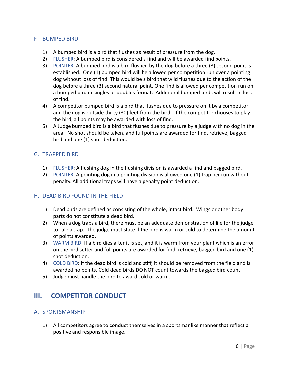### <span id="page-6-0"></span>F. BUMPED BIRD

- 1) A bumped bird is a bird that flushes as result of pressure from the dog.
- 2) FLUSHER: A bumped bird is considered a find and will be awarded find points.
- 3) POINTER: A bumped bird is a bird flushed by the dog before a three (3) second point is established. One (1) bumped bird will be allowed per competition run over a pointing dog without loss of find. This would be a bird that wild flushes due to the action of the dog before a three (3) second natural point. One find is allowed per competition run on a bumped bird in singles or doubles format. Additional bumped birds will result in loss of find.
- 4) A competitor bumped bird is a bird that flushes due to pressure on it by a competitor and the dog is outside thirty (30) feet from the bird. If the competitor chooses to play the bird, all points may be awarded with loss of find.
- 5) A Judge bumped bird is a bird that flushes due to pressure by a judge with no dog in the area. No shot should be taken, and full points are awarded for find, retrieve, bagged bird and one (1) shot deduction.

### <span id="page-6-1"></span>G. TRAPPED BIRD

- 1) FLUSHER: A flushing dog in the flushing division is awarded a find and bagged bird.
- 2) POINTER: A pointing dog in a pointing division is allowed one (1) trap per run without penalty. All additional traps will have a penalty point deduction.

### <span id="page-6-2"></span>H. DEAD BIRD FOUND IN THE FIELD

- 1) Dead birds are defined as consisting of the whole, intact bird. Wings or other body parts do not constitute a dead bird.
- 2) When a dog traps a bird, there must be an adequate demonstration of life for the judge to rule a trap. The judge must state if the bird is warm or cold to determine the amount of points awarded.
- 3) WARM BIRD: If a bird dies after it is set, and it is warm from your plant which is an error on the bird setter and full points are awarded for find, retrieve, bagged bird and one (1) shot deduction.
- 4) COLD BIRD: If the dead bird is cold and stiff, it should be removed from the field and is awarded no points. Cold dead birds DO NOT count towards the bagged bird count.
- <span id="page-6-3"></span>5) Judge must handle the bird to award cold or warm.

### **III. COMPETITOR CONDUCT**

### <span id="page-6-4"></span>A. SPORTSMANSHIP

1) All competitors agree to conduct themselves in a sportsmanlike manner that reflect a positive and responsible image.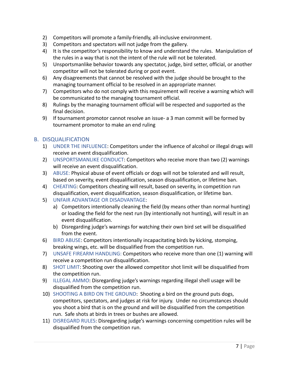- 2) Competitors will promote a family-friendly, all-inclusive environment.
- 3) Competitors and spectators will not judge from the gallery.
- 4) It is the competitor's responsibility to know and understand the rules. Manipulation of the rules in a way that is not the intent of the rule will not be tolerated.
- 5) Unsportsmanlike behavior towards any spectator, judge, bird setter, official, or another competitor will not be tolerated during or post event.
- 6) Any disagreements that cannot be resolved with the judge should be brought to the managing tournament official to be resolved in an appropriate manner.
- 7) Competitors who do not comply with this requirement will receive a warning which will be communicated to the managing tournament official.
- 8) Rulings by the managing tournament official will be respected and supported as the final decision.
- 9) If tournament promotor cannot resolve an issue- a 3 man commit will be formed by tournament promotor to make an end ruling

### <span id="page-7-0"></span>B. DISQUALIFICATION

- 1) UNDER THE INFLUENCE: Competitors under the influence of alcohol or illegal drugs will receive an event disqualification.
- 2) UNSPORTSMANLIKE CONDUCT: Competitors who receive more than two (2) warnings will receive an event disqualification.
- 3) ABUSE: Physical abuse of event officials or dogs will not be tolerated and will result, based on severity, event disqualification, season disqualification, or lifetime ban.
- 4) CHEATING: Competitors cheating will result, based on severity, in competition run disqualification, event disqualification, season disqualification, or lifetime ban.
- 5) UNFAIR ADVANTAGE OR DISADVANTAGE:
	- a) Competitors intentionally cleaning the field (by means other than normal hunting) or loading the field for the next run (by intentionally not hunting), will result in an event disqualification.
	- b) Disregarding judge's warnings for watching their own bird set will be disqualified from the event.
- 6) BIRD ABUSE: Competitors intentionally incapacitating birds by kicking, stomping, breaking wings, etc. will be disqualified from the competition run.
- 7) UNSAFE FIREARM HANDLING: Competitors who receive more than one (1) warning will receive a competition run disqualification.
- 8) SHOT LIMIT: Shooting over the allowed competitor shot limit will be disqualified from the competition run.
- 9) ILLEGAL AMMO: Disregarding judge's warnings regarding illegal shell usage will be disqualified from the competition run.
- 10) SHOOTING A BIRD ON THE GROUND: Shooting a bird on the ground puts dogs, competitors, spectators, and judges at risk for injury. Under no circumstances should you shoot a bird that is on the ground and will be disqualified from the competition run. Safe shots at birds in trees or bushes are allowed.
- 11) DISREGARD RULES: Disregarding judge's warnings concerning competition rules will be disqualified from the competition run.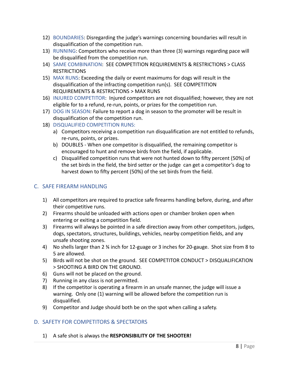- 12) BOUNDARIES: Disregarding the judge's warnings concerning boundaries will result in disqualification of the competition run.
- 13) RUNNING: Competitors who receive more than three (3) warnings regarding pace will be disqualified from the competition run.
- 14) SAME COMBINATION: SEE COMPETITION REQUIREMENTS & RESTRICTIONS > CLASS RESTRICTIONS
- 15) MAX RUNS: Exceeding the daily or event maximums for dogs will result in the disqualification of the infracting competition run(s). SEE COMPETITION REQUIREMENTS & RESTRICTIONS > MAX RUNS
- 16) INJURED COMPETITOR: Injured competitors are not disqualified; however, they are not eligible for to a refund, re-run, points, or prizes for the competition run.
- 17) DOG IN SEASON: Failure to report a dog in season to the promoter will be result in disqualification of the competition run.
- 18) DISQUALIFIED COMPETITION RUNS:
	- a) Competitors receiving a competition run disqualification are not entitled to refunds, re-runs, points, or prizes.
	- b) DOUBLES When one competitor is disqualified, the remaining competitor is encouraged to hunt and remove birds from the field, if applicable.
	- c) Disqualified competition runs that were not hunted down to fifty percent (50%) of the set birds in the field, the bird setter or the judge can get a competitor's dog to harvest down to fifty percent (50%) of the set birds from the field.

### <span id="page-8-0"></span>C. SAFE FIREARM HANDLING

- 1) All competitors are required to practice safe firearms handling before, during, and after their competitive runs.
- 2) Firearms should be unloaded with actions open or chamber broken open when entering or exiting a competition field.
- 3) Firearms will always be pointed in a safe direction away from other competitors, judges, dogs, spectators, structures, buildings, vehicles, nearby competition fields, and any unsafe shooting zones.
- 4) No shells larger than 2 ¾ inch for 12-guage or 3 inches for 20-gauge. Shot size from 8 to 5 are allowed.
- 5) Birds will not be shot on the ground. SEE COMPETITOR CONDUCT > DISQUALIFICATION > SHOOTING A BIRD ON THE GROUND.
- 6) Guns will not be placed on the ground.
- 7) Running in any class is not permitted.
- 8) If the competitor is operating a firearm in an unsafe manner, the judge will issue a warning. Only one (1) warning will be allowed before the competition run is disqualified.
- 9) Competitor and Judge should both be on the spot when calling a safety.

### <span id="page-8-1"></span>D. SAFETY FOR COMPETITORS & SPECTATORS

1) A safe shot is always the **RESPONSIBILITY OF THE SHOOTER!**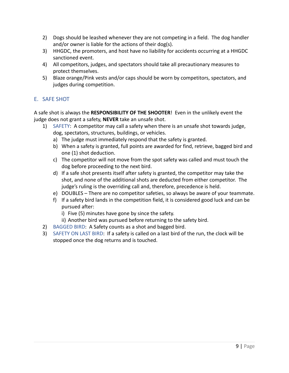- 2) Dogs should be leashed whenever they are not competing in a field. The dog handler and/or owner is liable for the actions of their dog(s).
- 3) HHGDC, the promoters, and host have no liability for accidents occurring at a HHGDC sanctioned event.
- 4) All competitors, judges, and spectators should take all precautionary measures to protect themselves.
- 5) Blaze orange/Pink vests and/or caps should be worn by competitors, spectators, and judges during competition.

### <span id="page-9-0"></span>E. SAFE SHOT

A safe shot is always the **RESPONSIBILITY OF THE SHOOTER**! Even in the unlikely event the judge does not grant a safety, **NEVER** take an unsafe shot.

- 1) SAFETY: A competitor may call a safety when there is an unsafe shot towards judge, dog, spectators, structures, buildings, or vehicles.
	- a) The judge must immediately respond that the safety is granted.
	- b) When a safety is granted, full points are awarded for find, retrieve, bagged bird and one (1) shot deduction.
	- c) The competitor will not move from the spot safety was called and must touch the dog before proceeding to the next bird.
	- d) If a safe shot presents itself after safety is granted, the competitor may take the shot, and none of the additional shots are deducted from either competitor. The judge's ruling is the overriding call and, therefore, precedence is held.
	- e) DOUBLES There are no competitor safeties, so always be aware of your teammate.
	- f) If a safety bird lands in the competition field, it is considered good luck and can be pursued after:
		- i) Five (5) minutes have gone by since the safety.
		- ii) Another bird was pursued before returning to the safety bird.
- 2) BAGGED BIRD: A Safety counts as a shot and bagged bird.
- 3) SAFETY ON LAST BIRD: If a safety is called on a last bird of the run, the clock will be stopped once the dog returns and is touched.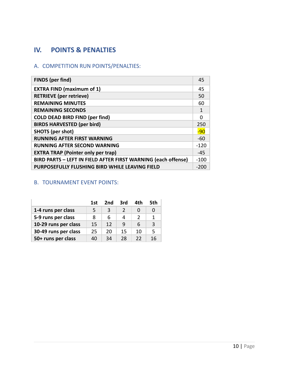### <span id="page-10-0"></span>**IV. POINTS & PENALTIES**

### <span id="page-10-1"></span>A. COMPETITION RUN POINTS/PENALTIES:

| <b>FINDS</b> (per find)                                       | 45     |
|---------------------------------------------------------------|--------|
| <b>EXTRA FIND (maximum of 1)</b>                              | 45     |
| <b>RETRIEVE</b> (per retrieve)                                | 50     |
| <b>REMAINING MINUTES</b>                                      | 60     |
| <b>REMAINING SECONDS</b>                                      |        |
| <b>COLD DEAD BIRD FIND (per find)</b>                         |        |
| <b>BIRDS HARVESTED (per bird)</b>                             | 250    |
| <b>SHOTS</b> (per shot)                                       | $-90$  |
| <b>RUNNING AFTER FIRST WARNING</b>                            | $-60$  |
| <b>RUNNING AFTER SECOND WARNING</b>                           | $-120$ |
| <b>EXTRA TRAP (Pointer only per trap)</b>                     |        |
| BIRD PARTS - LEFT IN FIELD AFTER FIRST WARNING (each offense) |        |
| PURPOSEFULLY FLUSHING BIRD WHILE LEAVING FIELD                |        |

### <span id="page-10-2"></span>B. TOURNAMENT EVENT POINTS:

|                      | 1st | 2nd | 3rd | 4th | 5th |
|----------------------|-----|-----|-----|-----|-----|
| 1-4 runs per class   | 5   | З   |     |     |     |
| 5-9 runs per class   | 8   | 6   | Δ   |     | 1   |
| 10-29 runs per class | 15  | 12  | q   | 6   | 3   |
| 30-49 runs per class | 25  | 20  | 15  | 10  | 5   |
| 50+ runs per class   | 40  | 34  | 28  | 22  | 16  |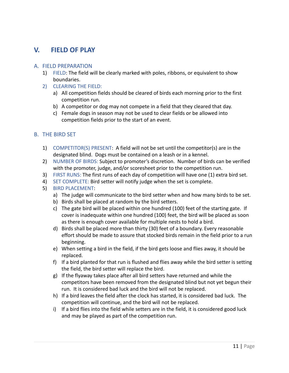### <span id="page-11-0"></span>**V. FIELD OF PLAY**

#### <span id="page-11-1"></span>A. FIELD PREPARATION

- 1) FIELD: The field will be clearly marked with poles, ribbons, or equivalent to show boundaries.
- 2) CLEARING THE FIELD:
	- a) All competition fields should be cleared of birds each morning prior to the first competition run.
	- b) A competitor or dog may not compete in a field that they cleared that day.
	- c) Female dogs in season may not be used to clear fields or be allowed into competition fields prior to the start of an event.

#### <span id="page-11-2"></span>B. THE BIRD SET

- 1) COMPETITOR(S) PRESENT: A field will not be set until the competitor(s) are in the designated blind. Dogs must be contained on a leash or in a kennel.
- 2) NUMBER OF BIRDS: Subject to promoter's discretion. Number of birds can be verified with the promoter, judge, and/or scoresheet prior to the competition run.
- 3) FIRST RUNS: The first runs of each day of competition will have one (1) extra bird set.
- 4) SET COMPLETE: Bird setter will notify judge when the set is complete.
- 5) BIRD PLACEMENT:
	- a) The judge will communicate to the bird setter when and how many birds to be set.
	- b) Birds shall be placed at random by the bird setters.
	- c) The gate bird will be placed within one hundred (100) feet of the starting gate. If cover is inadequate within one hundred (100) feet, the bird will be placed as soon as there is enough cover available for multiple nests to hold a bird.
	- d) Birds shall be placed more than thirty (30) feet of a boundary. Every reasonable effort should be made to assure that stocked birds remain in the field prior to a run beginning.
	- e) When setting a bird in the field, if the bird gets loose and flies away, it should be replaced.
	- f) If a bird planted for that run is flushed and flies away while the bird setter is setting the field, the bird setter will replace the bird.
	- g) If the flyaway takes place after all bird setters have returned and while the competitors have been removed from the designated blind but not yet begun their run. It is considered bad luck and the bird will not be replaced.
	- h) If a bird leaves the field after the clock has started, it is considered bad luck. The competition will continue, and the bird will not be replaced.
	- i) If a bird flies into the field while setters are in the field, it is considered good luck and may be played as part of the competition run.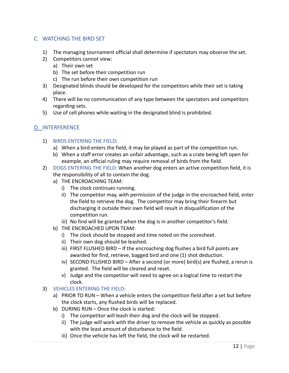### <span id="page-12-0"></span>C. WATCHING THE BIRD SET

- 1) The managing tournament official shall determine if spectators may observe the set.
- 2) Competitors cannot view:
	- a) Their own set
	- b) The set before their competition run
	- c) The run before their own competition run
- 3) Designated blinds should be developed for the competitors while their set is taking place.
- 4) There will be no communication of any type between the spectators and competitors regarding sets.
- 5) Use of cell phones while waiting in the designated blind is prohibited.

### <span id="page-12-1"></span>D. INTERFERENCE

- 1) BIRDS ENTERING THE FIELD:
	- a) When a bird enters the field, it may be played as part of the competition run.
	- b) When a staff error creates an unfair advantage, such as a crate being left open for example, an official ruling may require removal of birds from the field.
- 2) DOGS ENTERING THE FIELD: When another dog enters an active competition field, it is the responsibility of all to contain the dog.
	- a) THE ENCROACHING TEAM:
		- i) The clock continues running.
		- ii) The competitor may, with permission of the judge in the encroached field, enter the field to retrieve the dog. The competitor may bring their firearm but discharging it outside their own field will result in disqualification of the competition run.
		- iii) No find will be granted when the dog is in another competitor's field.
	- b) THE ENCROACHED UPON TEAM:
		- i) The clock should be stopped and time noted on the scoresheet.
		- ii) Their own dog should be leashed.
		- iii) FIRST FLUSHED BIRD If the encroaching dog flushes a bird full points are awarded for find, retrieve, bagged bird and one (1) shot deduction.
		- iv) SECOND FLUSHED BIRD After a second (or more) bird(s) are flushed, a rerun is granted. The field will be cleared and reset.
		- v) Judge and the competitor will need to agree on a logical time to restart the clock.
- 3) VEHICLES ENTERING THE FIELD:
	- a) PRIOR TO RUN When a vehicle enters the competition field after a set but before the clock starts, any flushed birds will be replaced.
	- b) DURING RUN Once the clock is started:
		- i) The competitor will leash their dog and the clock will be stopped.
		- ii) The judge will work with the driver to remove the vehicle as quickly as possible with the least amount of disturbance to the field.
		- iii) Once the vehicle has left the field, the clock will be restarted.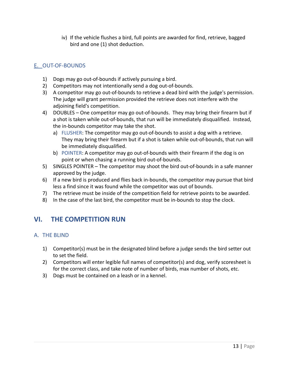iv) If the vehicle flushes a bird, full points are awarded for find, retrieve, bagged bird and one (1) shot deduction.

### <span id="page-13-0"></span>E. OUT-OF-BOUNDS

- 1) Dogs may go out-of-bounds if actively pursuing a bird.
- 2) Competitors may not intentionally send a dog out-of-bounds.
- 3) A competitor may go out-of-bounds to retrieve a dead bird with the judge's permission. The judge will grant permission provided the retrieve does not interfere with the adjoining field's competition.
- 4) DOUBLES One competitor may go out-of-bounds. They may bring their firearm but if a shot is taken while out-of-bounds, that run will be immediately disqualified. Instead, the in-bounds competitor may take the shot.
	- a) FLUSHER: The competitor may go out-of-bounds to assist a dog with a retrieve. They may bring their firearm but if a shot is taken while out-of-bounds, that run will be immediately disqualified.
	- b) POINTER: A competitor may go out-of-bounds with their firearm if the dog is on point or when chasing a running bird out-of-bounds.
- 5) SINGLES POINTER The competitor may shoot the bird out-of-bounds in a safe manner approved by the judge.
- 6) If a new bird is produced and flies back in-bounds, the competitor may pursue that bird less a find since it was found while the competitor was out of bounds.
- 7) The retrieve must be inside of the competition field for retrieve points to be awarded.
- <span id="page-13-1"></span>8) In the case of the last bird, the competitor must be in-bounds to stop the clock.

### **VI. THE COMPETITION RUN**

### <span id="page-13-2"></span>A. THE BLIND

- 1) Competitor(s) must be in the designated blind before a judge sends the bird setter out to set the field.
- 2) Competitors will enter legible full names of competitor(s) and dog, verify scoresheet is for the correct class, and take note of number of birds, max number of shots, etc.
- 3) Dogs must be contained on a leash or in a kennel.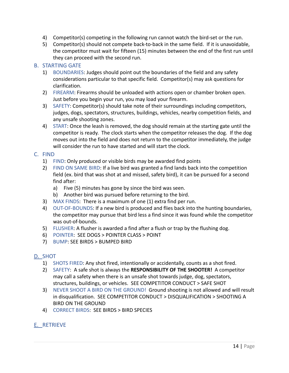- 4) Competitor(s) competing in the following run cannot watch the bird-set or the run.
- 5) Competitor(s) should not compete back-to-back in the same field. If it is unavoidable, the competitor must wait for fifteen (15) minutes between the end of the first run until they can proceed with the second run.

### <span id="page-14-0"></span>B. STARTING GATE

- 1) BOUNDARIES: Judges should point out the boundaries of the field and any safety considerations particular to that specific field. Competitor(s) may ask questions for clarification.
- 2) FIREARM: Firearms should be unloaded with actions open or chamber broken open. Just before you begin your run, you may load your firearm.
- 3) SAFETY: Competitor(s) should take note of their surroundings including competitors, judges, dogs, spectators, structures, buildings, vehicles, nearby competition fields, and any unsafe shooting zones.
- 4) START: Once the leash is removed, the dog should remain at the starting gate until the competitor is ready. The clock starts when the competitor releases the dog. If the dog moves out into the field and does not return to the competitor immediately, the judge will consider the run to have started and will start the clock.

### <span id="page-14-1"></span>C. FIND

- 1) FIND: Only produced or visible birds may be awarded find points
- 2) FIND ON SAME BIRD: If a live bird was granted a find lands back into the competition field (ex. bird that was shot at and missed, safety bird), it can be pursued for a second find after:
	- a) Five (5) minutes has gone by since the bird was seen.
	- b) Another bird was pursued before returning to the bird.
- 3) MAX FINDS: There is a maximum of one (1) extra find per run.
- 4) OUT-OF-BOUNDS: If a new bird is produced and flies back into the hunting boundaries, the competitor may pursue that bird less a find since it was found while the competitor was out-of-bounds.
- 5) FLUSHER: A flusher is awarded a find after a flush or trap by the flushing dog.
- 6) POINTER: SEE DOGS > POINTER CLASS > POINT
- 7) BUMP: SEE BIRDS > BUMPED BIRD

### <span id="page-14-2"></span>D. SHOT

- 1) SHOTS FIRED: Any shot fired, intentionally or accidentally, counts as a shot fired.
- 2) SAFETY: A safe shot is always the **RESPONSIBILITY OF THE SHOOTER!** A competitor may call a safety when there is an unsafe shot towards judge, dog, spectators, structures, buildings, or vehicles. SEE COMPETITOR CONDUCT > SAFE SHOT
- 3) NEVER SHOOT A BIRD ON THE GROUND! Ground shooting is not allowed and will result in disqualification. SEE COMPETITOR CONDUCT > DISQUALIFICATION > SHOOTING A BIRD ON THE GROUND
- 4) CORRECT BIRDS: SEE BIRDS > BIRD SPECIES

### <span id="page-14-3"></span>E. RETRIEVE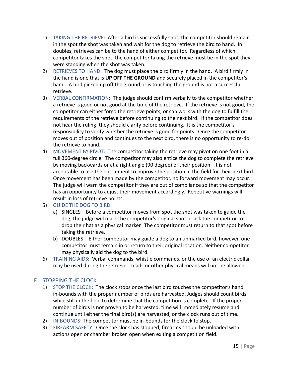- 1) TAKING THE RETRIEVE: After a bird is successfully shot, the competitor should remain in the spot the shot was taken and wait for the dog to retrieve the bird to hand. In doubles, retrieves can be to the hand of either competitor. Regardless of which competitor takes the shot, the competitor taking the retrieve must be in the spot they were standing when the shot was taken.
- 2) RETRIEVES TO HAND: The dog must place the bird firmly in the hand. A bird firmly in the hand is one that is **UP OFF THE GROUND** and securely placed in the competitor's hand. A bird picked up off the ground or is touching the ground is not a successful retrieve.
- 3) VERBAL CONFIRMATION: The judge should confirm verbally to the competitor whether a retrieve is good or not good at the time of the retrieve. If the retrieve is not good, the competitor can either forgo the retrieve points, or can work with the dog to fulfill the requirements of the retrieve before continuing to the next bird. If the competitor does not hear the ruling, they should clarify before continuing. It is the competitor's responsibility to verify whether the retrieve is good for points. Once the competitor moves out of position and continues to the next bird, there is no opportunity to re-do the retrieve to hand.
- 4) MOVEMENT BY PIVOT: The competitor taking the retrieve may pivot on one foot in a full 360-degree circle. The competitor may also entice the dog to complete the retrieve by moving backwards or at a right angle (90 degree) of their position. It is not acceptable to use the enticement to improve the position in the field for their next bird. Once movement has been made by the competitor, no forward movement may occur. The judge will warn the competitor if they are out of compliance so that the competitor has an opportunity to adjust their movement accordingly. Repetitive warnings will result in loss of retrieve points.
- 5) GUIDE THE DOG TO BIRD:
	- a) SINGLES Before a competitor moves from spot the shot was taken to guide the dog, the judge will mark the competitor's original spot or ask the competitor to drop their hat as a physical marker. The competitor must return to that spot before taking the retrieve.
	- b) DOUBLES Either competitor may guide a dog to an unmarked bird, however, one competitor must remain in or return to their original location. Neither competitor may physically aid the dog to the bird.
- 6) TRAINING AIDS: Verbal commands, whistle commands, or the use of an electric collar may be used during the retrieve. Leads or other physical means will not be allowed.

### <span id="page-15-0"></span>F. STOPPING THE CLOCK

- 1) STOP THE CLOCK: The clock stops once the last bird touches the competitor's hand in-bounds with the proper number of birds are harvested. Judges should count birds while still in the field to determine that the competition is complete. If the proper number of birds is not proven to be harvested, time will immediately resume and continue until either the final bird(s) are harvested, or the clock runs out of time.
- 2) IN-BOUNDS: The competitor must be in-bounds for the clock to stop.
- 3) FIREARM SAFETY: Once the clock has stopped, firearms should be unloaded with actions open or chamber broken open when exiting a competition field.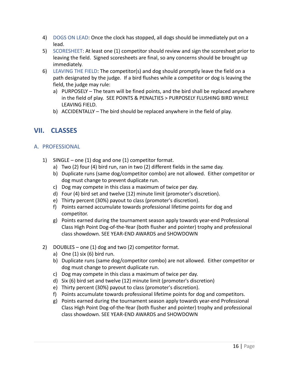- 4) DOGS ON LEAD: Once the clock has stopped, all dogs should be immediately put on a lead.
- 5) SCORESHEET: At least one (1) competitor should review and sign the scoresheet prior to leaving the field. Signed scoresheets are final, so any concerns should be brought up immediately.
- 6) LEAVING THE FIELD: The competitor(s) and dog should promptly leave the field on a path designated by the judge. If a bird flushes while a competitor or dog is leaving the field, the judge may rule:
	- a) PURPOSELY The team will be fined points, and the bird shall be replaced anywhere in the field of play. SEE POINTS & PENALTIES > PURPOSELY FLUSHING BIRD WHILE LEAVING FIELD.
	- b) ACCIDENTALLY The bird should be replaced anywhere in the field of play.

### <span id="page-16-0"></span>**VII. CLASSES**

### <span id="page-16-1"></span>A. PROFESSIONAL

- 1) SINGLE one (1) dog and one (1) competitor format.
	- a) Two (2) four (4) bird run, ran in two (2) different fields in the same day.
	- b) Duplicate runs (same dog/competitor combo) are not allowed. Either competitor or dog must change to prevent duplicate run.
	- c) Dog may compete in this class a maximum of twice per day.
	- d) Four (4) bird set and twelve (12) minute limit (promoter's discretion).
	- e) Thirty percent (30%) payout to class (promoter's discretion).
	- f) Points earned accumulate towards professional lifetime points for dog and competitor.
	- g) Points earned during the tournament season apply towards year-end Professional Class High Point Dog-of-the-Year (both flusher and pointer) trophy and professional class showdown. SEE YEAR-END AWARDS and SHOWDOWN
- 2) DOUBLES one (1) dog and two (2) competitor format.
	- a) One  $(1)$  six  $(6)$  bird run.
	- b) Duplicate runs (same dog/competitor combo) are not allowed. Either competitor or dog must change to prevent duplicate run.
	- c) Dog may compete in this class a maximum of twice per day.
	- d) Six (6) bird set and twelve (12) minute limit (promoter's discretion)
	- e) Thirty percent (30%) payout to class (promoter's discretion).
	- f) Points accumulate towards professional lifetime points for dog and competitors.
	- g) Points earned during the tournament season apply towards year-end Professional Class High Point Dog-of-the-Year (both flusher and pointer) trophy and professional class showdown. SEE YEAR-END AWARDS and SHOWDOWN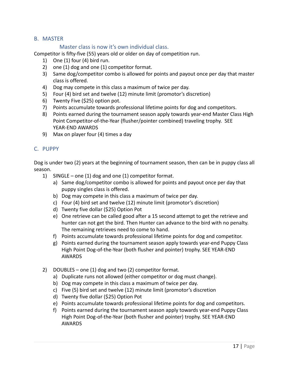### <span id="page-17-0"></span>B. MASTER

### Master class is now it's own individual class.

Competitor is fifty-five (55) years old or older on day of competition run.

- 1) One (1) four (4) bird run.
- 2) one (1) dog and one (1) competitor format.
- 3) Same dog/competitor combo is allowed for points and payout once per day that master class is offered.
- 4) Dog may compete in this class a maximum of twice per day.
- 5) Four (4) bird set and twelve (12) minute limit (promotor's discretion)
- 6) Twenty Five (\$25) option pot.
- 7) Points accumulate towards professional lifetime points for dog and competitors.
- 8) Points earned during the tournament season apply towards year-end Master Class High Point Competitor-of-the-Year (flusher/pointer combined) traveling trophy. SEE YEAR-END AWARDS
- 9) Max on player four (4) times a day

### <span id="page-17-1"></span>C. PUPPY

Dog is under two (2) years at the beginning of tournament season, then can be in puppy class all season.

- 1) SINGLE one (1) dog and one (1) competitor format.
	- a) Same dog/competitor combo is allowed for points and payout once per day that puppy singles class is offered.
	- b) Dog may compete in this class a maximum of twice per day.
	- c) Four (4) bird set and twelve (12) minute limit (promotor's discretion)
	- d) Twenty five dollar (\$25) Option Pot
	- e) One retrieve can be called good after a 15 second attempt to get the retrieve and hunter can not get the bird. Then Hunter can advance to the bird with no penalty. The remaining retrieves need to come to hand.
	- f) Points accumulate towards professional lifetime points for dog and competitor.
	- g) Points earned during the tournament season apply towards year-end Puppy Class High Point Dog-of-the-Year (both flusher and pointer) trophy. SEE YEAR-END AWARDS
- 2) DOUBLES one (1) dog and two (2) competitor format.
	- a) Duplicate runs not allowed (either competitor or dog must change).
	- b) Dog may compete in this class a maximum of twice per day.
	- c) Five (5) bird set and twelve (12) minute limit (promotor's discretion
	- d) Twenty five dollar (\$25) Option Pot
	- e) Points accumulate towards professional lifetime points for dog and competitors.
	- f) Points earned during the tournament season apply towards year-end Puppy Class High Point Dog-of-the-Year (both flusher and pointer) trophy. SEE YEAR-END AWARDS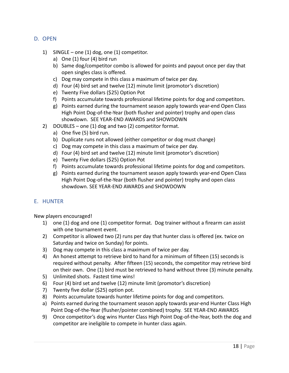- <span id="page-18-0"></span>D. OPEN
	- 1) SINGLE one (1) dog, one (1) competitor.
		- a) One (1) four (4) bird run
		- b) Same dog/competitor combo is allowed for points and payout once per day that open singles class is offered.
		- c) Dog may compete in this class a maximum of twice per day.
		- d) Four (4) bird set and twelve (12) minute limit (promotor's discretion)
		- e) Twenty Five dollars (\$25) Option Pot
		- f) Points accumulate towards professional lifetime points for dog and competitors.
		- g) Points earned during the tournament season apply towards year-end Open Class High Point Dog-of-the-Year (both flusher and pointer) trophy and open class showdown. SEE YEAR-END AWARDS and SHOWDOWN
	- 2) DOUBLES one (1) dog and two (2) competitor format.
		- a) One five (5) bird run.
		- b) Duplicate runs not allowed (either competitor or dog must change)
		- c) Dog may compete in this class a maximum of twice per day.
		- d) Four (4) bird set and twelve (12) minute limit (promotor's discretion)
		- e) Twenty Five dollars (\$25) Option Pot
		- f) Points accumulate towards professional lifetime points for dog and competitors.
		- g) Points earned during the tournament season apply towards year-end Open Class High Point Dog-of-the-Year (both flusher and pointer) trophy and open class showdown. SEE YEAR-END AWARDS and SHOWDOWN

### <span id="page-18-1"></span>E. HUNTER

New players encouraged!

- 1) one (1) dog and one (1) competitor format. Dog trainer without a firearm can assist with one tournament event.
- 2) Competitor is allowed two (2) runs per day that hunter class is offered (ex. twice on Saturday and twice on Sunday) for points.
- 3) Dog may compete in this class a maximum of twice per day.
- 4) An honest attempt to retrieve bird to hand for a minimum of fifteen (15) seconds is required without penalty. After fifteen (15) seconds, the competitor may retrieve bird on their own. One (1) bird must be retrieved to hand without three (3) minute penalty.
- 5) Unlimited shots. Fastest time wins!
- 6) Four (4) bird set and twelve (12) minute limit (promotor's discretion)
- 7) Twenty five dollar (\$25) option pot.
- 8) Points accumulate towards hunter lifetime points for dog and competitors.
- a) Points earned during the tournament season apply towards year-end Hunter Class High Point Dog-of-the-Year (flusher/pointer combined) trophy. SEE YEAR-END AWARDS
- 9) Once competitor's dog wins Hunter Class High Point Dog-of-the-Year, both the dog and competitor are ineligible to compete in hunter class again.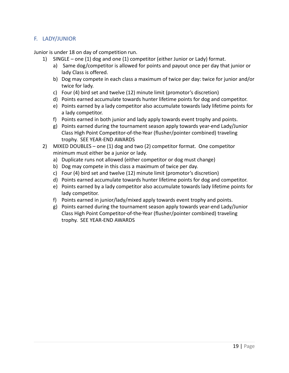### <span id="page-19-0"></span>F. LADY/JUNIOR

Junior is under 18 on day of competition run.

- 1) SINGLE one (1) dog and one (1) competitor (either Junior or Lady) format.
	- a) Same dog/competitor is allowed for points and payout once per day that junior or lady Class is offered.
	- b) Dog may compete in each class a maximum of twice per day: twice for junior and/or twice for lady.
	- c) Four (4) bird set and twelve (12) minute limit (promotor's discretion)
	- d) Points earned accumulate towards hunter lifetime points for dog and competitor.
	- e) Points earned by a lady competitor also accumulate towards lady lifetime points for a lady competitor.
	- f) Points earned in both junior and lady apply towards event trophy and points.
	- g) Points earned during the tournament season apply towards year-end Lady/Junior Class High Point Competitor-of-the-Year (flusher/pointer combined) traveling trophy. SEE YEAR-END AWARDS
- 2) MIXED DOUBLES one (1) dog and two (2) competitor format. One competitor minimum must either be a junior or lady.
	- a) Duplicate runs not allowed (either competitor or dog must change)
	- b) Dog may compete in this class a maximum of twice per day.
	- c) Four (4) bird set and twelve (12) minute limit (promotor's discretion)
	- d) Points earned accumulate towards hunter lifetime points for dog and competitor.
	- e) Points earned by a lady competitor also accumulate towards lady lifetime points for lady competitor.
	- f) Points earned in junior/lady/mixed apply towards event trophy and points.
	- g) Points earned during the tournament season apply towards year-end Lady/Junior Class High Point Competitor-of-the-Year (flusher/pointer combined) traveling trophy. SEE YEAR-END AWARDS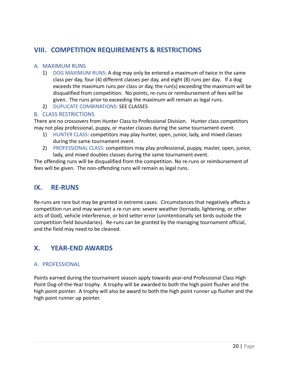### <span id="page-20-0"></span>**VIII. COMPETITION REQUIREMENTS & RESTRICTIONS**

### <span id="page-20-1"></span>A. MAXIMUM RUNS

- 1) DOG MAXIMUM RUNS: A dog may only be entered a maximum of twice in the same class per day, four (4) different classes per day, and eight (8) runs per day. If a dog exceeds the maximum runs per class or day, the run(s) exceeding the maximum will be disqualified from competition. No points, re-runs or reimbursement of fees will be given. The runs prior to exceeding the maximum will remain as legal runs.
- 2) DUPLICATE COMBINATIONS: SEE CLASSES

### <span id="page-20-2"></span>B. CLASS RESTRICTIONS

There are no crossovers from Hunter Class to Professional Division. Hunter class competitors may not play professional, puppy, or master classes during the same tournament event.

- 1) HUNTER CLASS: competitors may play hunter, open, junior, lady, and mixed classes during the same tournament event.
- 2) PROFESSIONAL CLASS: competitors may play professional, puppy, master, open, junior, lady, and mixed doubles classes during the same tournament event.

The offending runs will be disqualified from the competition. No re-runs or reimbursement of fees will be given. The non-offending runs will remain as legal runs.

### <span id="page-20-3"></span>**IX. RE-RUNS**

Re-runs are rare but may be granted in extreme cases. Circumstances that negatively affects a competition run and may warrant a re-run are: severe weather (tornado, lightening, or other acts of God), vehicle interference, or bird setter error (unintentionally set birds outside the competition field boundaries). Re-runs can be granted by the managing tournament official, and the field may need to be cleaned.

### <span id="page-20-4"></span>**X. YEAR-END AWARDS**

### <span id="page-20-5"></span>A. PROFESSIONAL

Points earned during the tournament season apply towards year-end Professional Class High Point Dog-of-the-Year trophy. A trophy will be awarded to both the high point flusher and the high point pointer. A trophy will also be award to both the high point runner up flusher and the high point runner up pointer.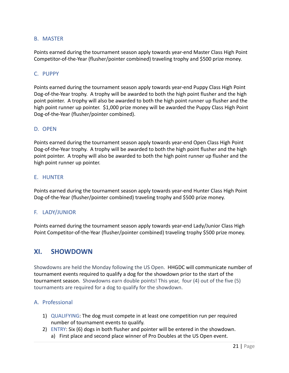### <span id="page-21-0"></span>B. MASTER

Points earned during the tournament season apply towards year-end Master Class High Point Competitor-of-the-Year (flusher/pointer combined) traveling trophy and \$500 prize money.

### <span id="page-21-1"></span>C. PUPPY

Points earned during the tournament season apply towards year-end Puppy Class High Point Dog-of-the-Year trophy. A trophy will be awarded to both the high point flusher and the high point pointer. A trophy will also be awarded to both the high point runner up flusher and the high point runner up pointer. \$1,000 prize money will be awarded the Puppy Class High Point Dog-of-the-Year (flusher/pointer combined).

### <span id="page-21-2"></span>D. OPEN

Points earned during the tournament season apply towards year-end Open Class High Point Dog-of-the-Year trophy. A trophy will be awarded to both the high point flusher and the high point pointer. A trophy will also be awarded to both the high point runner up flusher and the high point runner up pointer.

#### <span id="page-21-3"></span>E. HUNTER

Points earned during the tournament season apply towards year-end Hunter Class High Point Dog-of-the-Year (flusher/pointer combined) traveling trophy and \$500 prize money.

### <span id="page-21-4"></span>F. LADY/JUNIOR

<span id="page-21-5"></span>Points earned during the tournament season apply towards year-end Lady/Junior Class High Point Competitor-of-the-Year (flusher/pointer combined) traveling trophy \$500 prize money.

### **XI. SHOWDOWN**

Showdowns are held the Monday following the US Open. HHGDC will communicate number of tournament events required to qualify a dog for the showdown prior to the start of the tournament season. Showdowns earn double points! This year, four (4) out of the five (5) tournaments are required for a dog to qualify for the showdown.

### <span id="page-21-6"></span>A. Professional

- 1) QUALIFYING: The dog must compete in at least one competition run per required number of tournament events to qualify.
- 2) ENTRY: Six (6) dogs in both flusher and pointer will be entered in the showdown.
	- a) First place and second place winner of Pro Doubles at the US Open event.